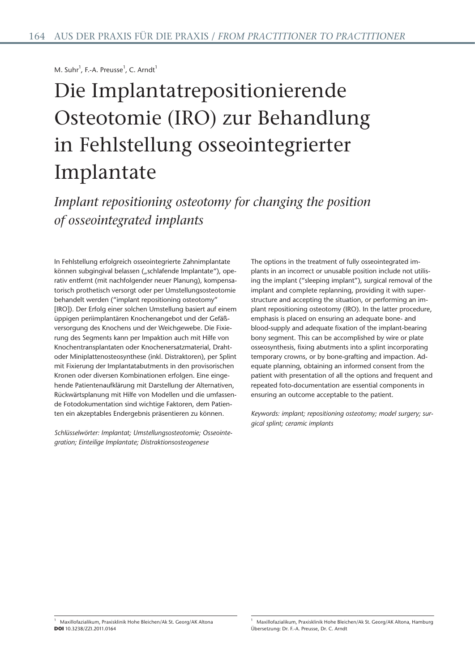M. Suhr<sup>1</sup>, F.-A. Preusse<sup>1</sup>, C. Arndt<sup>1</sup>

# Die Implantatrepositionierende Osteotomie (IRO) zur Behandlung in Fehlstellung osseointegrierter Implantate

*Implant repositioning osteotomy for changing the position of osseointegrated implants*

In Fehlstellung erfolgreich osseointegrierte Zahnimplantate können subgingival belassen ("schlafende Implantate"), operativ entfernt (mit nachfolgender neuer Planung), kompensatorisch prothetisch versorgt oder per Umstellungsosteotomie behandelt werden ("implant repositioning osteotomy" [IRO]). Der Erfolg einer solchen Umstellung basiert auf einem üppigen periimplantären Knochenangebot und der Gefäßversorgung des Knochens und der Weichgewebe. Die Fixierung des Segments kann per Impaktion auch mit Hilfe von Knochentransplantaten oder Knochenersatzmaterial, Drahtoder Miniplattenosteosynthese (inkl. Distraktoren), per Splint mit Fixierung der Implantatabutments in den provisorischen Kronen oder diversen Kombinationen erfolgen. Eine eingehende Patientenaufklärung mit Darstellung der Alternativen, Rückwärtsplanung mit Hilfe von Modellen und die umfassende Fotodokumentation sind wichtige Faktoren, dem Patienten ein akzeptables Endergebnis präsentieren zu können.

*Schlüsselwörter: Implantat; Umstellungsosteotomie; Osseointegration; Einteilige Implantate; Distraktionsosteogenese*

The options in the treatment of fully osseointegrated implants in an incorrect or unusable position include not utilising the implant ("sleeping implant"), surgical removal of the implant and complete replanning, providing it with superstructure and accepting the situation, or performing an implant repositioning osteotomy (IRO). In the latter procedure, emphasis is placed on ensuring an adequate bone- and blood-supply and adequate fixation of the implant-bearing bony segment. This can be accomplished by wire or plate osseosynthesis, fixing abutments into a splint incorporating temporary crowns, or by bone-grafting and impaction. Adequate planning, obtaining an informed consent from the patient with presentation of all the options and frequent and repeated foto-documentation are essential components in ensuring an outcome acceptable to the patient.

*Keywords: implant; repositioning osteotomy; model surgery; surgical splint; ceramic implants*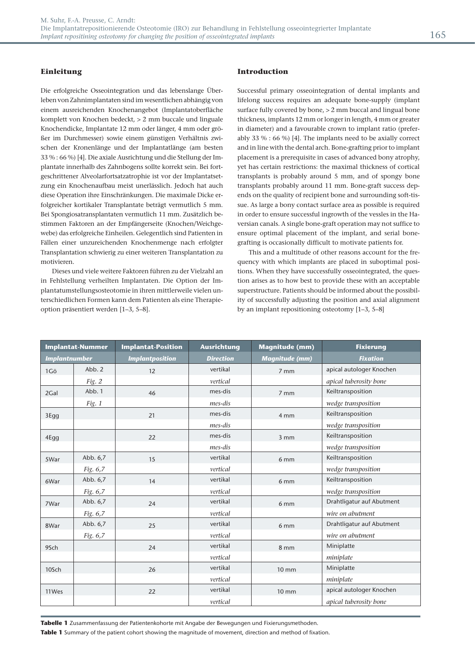Die erfolgreiche Osseointegration und das lebenslange Überleben von Zahnimplantaten sind im wesentlichen abhängig von einem ausreichenden Knochenangebot (Implantatoberfläche komplett von Knochen bedeckt, > 2 mm buccale und linguale Knochendicke, Implantate 12 mm oder länger, 4 mm oder größer im Durchmesser) sowie einem günstigen Verhältnis zwischen der Kronenlänge und der Implantatlänge (am besten 33 % : 66 %) [4]. Die axiale Ausrichtung und die Stellung der Implantate innerhalb des Zahnbogens sollte korrekt sein. Bei fortgeschrittener Alveolarfortsatzatrophie ist vor der Implantatsetzung ein Knochenaufbau meist unerlässlich. Jedoch hat auch diese Operation ihre Einschränkungen. Die maximale Dicke erfolgreicher kortikaler Transplantate beträgt vermutlich 5 mm. Bei Spongiosatransplantaten vermutlich 11 mm. Zusätzlich bestimmen Faktoren an der Empfängerseite (Knochen/Weichgewebe) das erfolgreiche Einheilen. Gelegentlich sind Patienten in Fällen einer unzureichenden Knochenmenge nach erfolgter Transplantation schwierig zu einer weiteren Transplantation zu motivieren.

Dieses und viele weitere Faktoren führen zu der Vielzahl an in Fehlstellung verheilten Implantaten. Die Option der Implantatumstellungsosteotomie in ihren mittlerweile vielen unterschiedlichen Formen kann dem Patienten als eine Therapieoption präsentiert werden [1–3, 5–8].

# **Introduction**

Successful primary osseointegration of dental implants and lifelong success requires an adequate bone-supply (implant surface fully covered by bone, > 2 mm buccal and lingual bone thickness, implants 12 mm or longer in length, 4 mm or greater in diameter) and a favourable crown to implant ratio (preferably 33 % : 66 %) [4]. The implants need to be axially correct and in line with the dental arch. Bone-grafting prior to implant placement is a prerequisite in cases of advanced bony atrophy, yet has certain restrictions: the maximal thickness of cortical transplants is probably around 5 mm, and of spongy bone transplants probably around 11 mm. Bone-graft success depends on the quality of recipient bone and surrounding soft-tissue. As large a bony contact surface area as possible is required in order to ensure successful ingrowth of the vessles in the Haversian canals. A single bone-graft operation may not suffice to ensure optimal placement of the implant, and serial bonegrafting is occasionally difficult to motivate patients for.

This and a multitude of other reasons account for the frequency with which implants are placed in suboptimal positions. When they have successfully osseointegrated, the question arises as to how best to provide these with an acceptable superstructure. Patients should be informed about the possibility of successfully adjusting the position and axial alignment by an implant repositioning osteotomy [1–3, 5–8]

| <b>Implantat-Nummer</b> |          | <b>Implantat-Position</b> | <b>Ausrichtung</b> | <b>Magnitude (mm)</b> | <b>Fixierung</b>          |
|-------------------------|----------|---------------------------|--------------------|-----------------------|---------------------------|
| <b>Implantnumber</b>    |          | <b>Implantposition</b>    | <b>Direction</b>   | <b>Magnitude (mm)</b> | <b>Fixation</b>           |
| 1Gö                     | Abb. 2   | 12                        | vertikal           | 7 mm                  | apical autologer Knochen  |
|                         | Fig. 2   |                           | vertical           |                       | apical tuberosity bone    |
| 2Gal                    | Abb. 1   | 46                        | mes-dis            | 7 mm                  | Keiltransposition         |
|                         | Fig. 1   |                           | mes-dis            |                       | wedge transposition       |
| 3Egg                    |          | 21                        | mes-dis            | 4 mm                  | Keiltransposition         |
|                         |          |                           | mes-dis            |                       | wedge transposition       |
| 4Egg                    |          | 22                        | mes-dis            | $3 \, \text{mm}$      | Keiltransposition         |
|                         |          |                           | mes-dis            |                       | wedge transposition       |
| 5War                    | Abb. 6,7 | 15                        | vertikal           | 6 mm                  | Keiltransposition         |
|                         | Fig. 6,7 |                           | vertical           |                       | wedge transposition       |
| 6War                    | Abb. 6,7 | 14                        | vertikal           | 6 <sub>mm</sub>       | Keiltransposition         |
|                         | Fig. 6,7 |                           | vertical           |                       | wedge transposition       |
| 7War                    | Abb. 6,7 | 24                        | vertikal           | 6 mm                  | Drahtligatur auf Abutment |
|                         | Fig. 6,7 |                           | vertical           |                       | wire on abutment          |
| 8War                    | Abb. 6,7 | 25                        | vertikal           | 6 mm                  | Drahtligatur auf Abutment |
|                         | Fig. 6,7 |                           | vertical           |                       | wire on abutment          |
| 9Sch                    |          | 24                        | vertikal           | 8 mm                  | Miniplatte                |
|                         |          |                           | vertical           |                       | miniplate                 |
| 10Sch                   |          | 26                        | vertikal           | $10 \text{ mm}$       | Miniplatte                |
|                         |          |                           | vertical           |                       | miniplate                 |
| 11Wes                   |          | 22                        | vertikal           | $10 \text{ mm}$       | apical autologer Knochen  |
|                         |          |                           | vertical           |                       | apical tuberosity bone    |

**Tabelle 1** Zusammenfassung der Patientenkohorte mit Angabe der Bewegungen und Fixierungsmethoden.

**Table 1** Summary of the patient cohort showing the magnitude of movement, direction and method of fixation.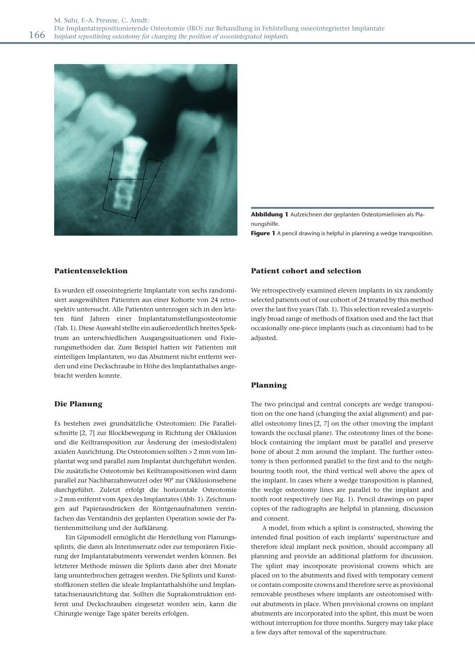

**Abbildung 1** Aufzeichnen der geplanten Osteotomielinien als Planungshilfe.

**Figure 1** A pencil drawing is helpful in planning a wedge transposition.

### **Patientenselektion**

Es wurden elf osseointegrierte Implantate von sechs randomisiert ausgewählten Patienten aus einer Kohorte von 24 retrospektiv untersucht. Alle Patienten unterzogen sich in den letzten fünf Jahren einer Implantatumstellungsosteotomie (Tab. 1). Diese Auswahl stellte ein außerordentlich breites Spektrum an unterschiedlichen Ausgangssituationen und Fixierungsmethoden dar. Zum Beispiel hatten wir Patienten mit einteiligen Implantaten, wo das Abutment nicht entfernt werden und eine Deckschraube in Höhe des Implantathalses angebracht werden konnte.

#### **Die Planung**

Es bestehen zwei grundsätzliche Osteotomien: Die Parallelschnitte [2, 7] zur Blockbewegung in Richtung der Okklusion und die Keiltransposition zur Änderung der (mesiodistalen) axialen Ausrichtung. Die Osteotomien sollten > 2 mm vom Implantat weg und parallel zum Implantat durchgeführt werden. Die zusätzliche Osteotomie bei Keiltranspositionen wird dann parallel zur Nachbarzahnwurzel oder 90° zur Okklusionsebene durchgeführt. Zuletzt erfolgt die horizontale Osteotomie > 2 mm entfernt vom Apex des Implantates (Abb. 1). Zeichnungen auf Papierausdrücken der Röntgenaufnahmen vereinfachen das Verständnis der geplanten Operation sowie der Patientenmitteilung und der Aufklärung.

Ein Gipsmodell ermöglicht die Herstellung von Planungssplints, die dann als Interimsersatz oder zur temporären Fixierung der Implantatabutments verwendet werden können. Bei letzterer Methode müssen die Splints dann aber drei Monate lang ununterbrochen getragen werden. Die Splints und Kunststoffkronen stellen die ideale Implantathalshöhe und Implantatachsenausrichtung dar. Sollten die Suprakonstruktion entfernt und Deckschrauben eingesetzt worden sein, kann die Chirurgie wenige Tage später bereits erfolgen.

### **Patient cohort and selection**

We retrospectively examined eleven implants in six randomly selected patients out of our cohort of 24 treated by this method over the last five years (Tab. 1). This selection revealed a surprisingly broad range of methods of fixation used and the fact that occasionally one-piece implants (such as circonium) had to be adjusted.

#### **Planning**

The two principal and central concepts are wedge transposition on the one hand (changing the axial alignment) and parallel osteotomy lines [2, 7] on the other (moving the implant towards the occlusal plane). The osteotomy lines of the boneblock containing the implant must be parallel and preserve bone of about 2 mm around the implant. The further osteotomy is then performed parallel to the first and to the neighbouring tooth root, the third vertical well above the apex of the implant. In cases where a wedge transposition is planned, the wedge osteotomy lines are parallel to the implant and tooth root respectively (see Fig. 1). Pencil drawings on paper copies of the radiographs are helpful in planning, discussion and consent.

A model, from which a splint is constructed, showing the intended final position of each implants' superstructure and therefore ideal implant neck position, should accompany all planning and provide an additional platform for discussion. The splint may incorporate provisional crowns which are placed on to the abutments and fixed with temporary cement or contain composite crowns and therefore serve as provisional removable prostheses where implants are osteotomised without abutments in place. When provisional crowns on implant abutments are incorporated into the splint, this must be worn without interruption for three months. Surgery may take place a few days after removal of the superstructure.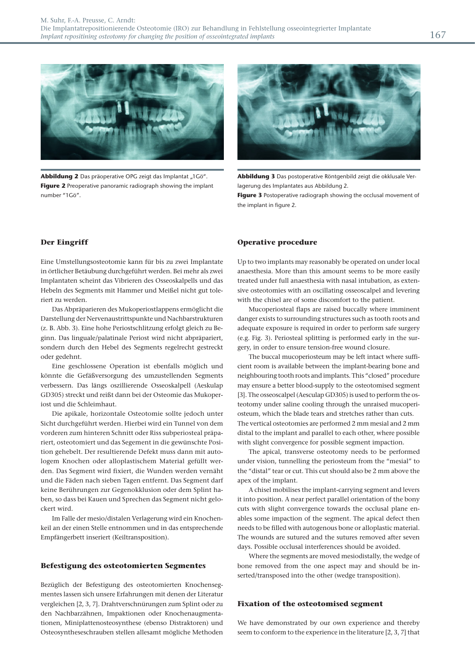

Abbildung 2 Das präoperative OPG zeigt das Implantat "1Gö". **Figure 2** Preoperative panoramic radiograph showing the implant number "1Gö".



**Abbildung 3** Das postoperative Röntgenbild zeigt die okklusale Verlagerung des Implantates aus Abbildung 2.

**Figure 3** Postoperative radiograph showing the occlusal movement of the implant in figure 2.

# **Der Eingriff**

Eine Umstellungsosteotomie kann für bis zu zwei Implantate in örtlicher Betäubung durchgeführt werden. Bei mehr als zwei Implantaten scheint das Vibrieren des Osseoskalpells und das Hebeln des Segments mit Hammer und Meißel nicht gut toleriert zu werden.

Das Abpräparieren des Mukoperiostlappens ermöglicht die Darstellung der Nervenaustrittspunkte und Nachbarstrukturen (z. B. Abb. 3). Eine hohe Periostschlitzung erfolgt gleich zu Beginn. Das linguale/palatinale Periost wird nicht abpräpariert, sondern durch den Hebel des Segments regelrecht gestreckt oder gedehnt.

Eine geschlossene Operation ist ebenfalls möglich und könnte die Gefäßversorgung des umzustellenden Segments verbessern. Das längs oszillierende Osseoskalpell (Aeskulap GD305) streckt und reißt dann bei der Osteomie das Mukoperiost und die Schleimhaut.

Die apikale, horizontale Osteotomie sollte jedoch unter Sicht durchgeführt werden. Hierbei wird ein Tunnel von dem vorderen zum hinteren Schnitt oder Riss subperiosteal präpariert, osteotomiert und das Segement in die gewünschte Position gehebelt. Der resultierende Defekt muss dann mit autologem Knochen oder alloplastischem Material gefüllt werden. Das Segment wird fixiert, die Wunden werden vernäht und die Fäden nach sieben Tagen entfernt. Das Segment darf keine Berührungen zur Gegenokklusion oder dem Splint haben, so dass bei Kauen und Sprechen das Segment nicht gelockert wird.

Im Falle der mesio/distalen Verlagerung wird ein Knochenkeil an der einen Stelle entnommen und in das entsprechende Empfängerbett inseriert (Keiltransposition).

#### **Befestigung des osteotomierten Segmentes**

Bezüglich der Befestigung des osteotomierten Knochensegmentes lassen sich unsere Erfahrungen mit denen der Literatur vergleichen [2, 3, 7]. Drahtverschnürungen zum Splint oder zu den Nachbarzähnen, Impaktionen oder Knochenaugmentationen, Miniplattenosteosynthese (ebenso Distraktoren) und Osteosyntheseschrauben stellen allesamt mögliche Methoden

# **Operative procedure**

Up to two implants may reasonably be operated on under local anaesthesia. More than this amount seems to be more easily treated under full anaesthesia with nasal intubation, as extensive osteotomies with an oscillating osseoscalpel and levering with the chisel are of some discomfort to the patient.

Mucoperiosteal flaps are raised buccally where imminent danger exists to surrounding structures such as tooth roots and adequate exposure is required in order to perform safe surgery (e.g. Fig. 3). Periosteal splitting is performed early in the surgery, in order to ensure tension-free wound closure.

The buccal mucoperiosteum may be left intact where sufficient room is available between the implant-bearing bone and neighbouring tooth roots and implants. This "closed" procedure may ensure a better blood-supply to the osteotomised segment [3]. The osseoscalpel (Aesculap GD305) is used to perform the osteotomy under saline cooling through the unraised mucoperiosteum, which the blade tears and stretches rather than cuts. The vertical osteotomies are performed 2 mm mesial and 2 mm distal to the implant and parallel to each other, where possible with slight convergence for possible segment impaction.

The apical, transverse osteotomy needs to be performed under vision, tunnelling the periosteum from the "mesial" to the "distal" tear or cut. This cut should also be 2 mm above the apex of the implant.

A chisel mobilises the implant-carrying segment and levers it into position. A near perfect parallel orientation of the bony cuts with slight convergence towards the occlusal plane enables some impaction of the segment. The apical defect then needs to be filled with autogenous bone or alloplastic material. The wounds are sutured and the sutures removed after seven days. Possible occlusal interferences should be avoided.

Where the segments are moved mesiodistally, the wedge of bone removed from the one aspect may and should be inserted/transposed into the other (wedge transposition).

#### **Fixation of the osteotomised segment**

We have demonstrated by our own experience and thereby seem to conform to the experience in the literature [2, 3, 7] that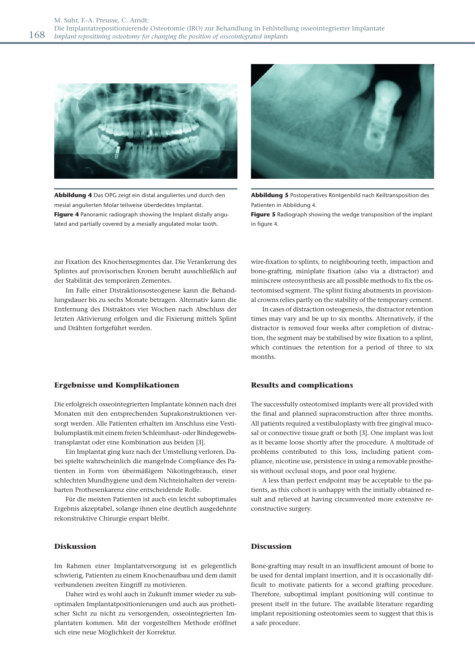

**Abbildung 4** Das OPG zeigt ein distal anguliertes und durch den mesial angulierten Molar teilweise überdecktes Implantat. **Figure 4** Panoramic radiograph showing the Implant distally angulated and partially covered by a mesially angulated molar tooth.



**Abbildung 5** Postoperatives Röntgenbild nach Keiltransposition des Patienten in Abbildung 4.

**Figure 5** Radiograph showing the wedge transposition of the implant in figure 4.

zur Fixation des Knochensegmentes dar. Die Verankerung des Splintes auf provisorischen Kronen beruht ausschließlich auf der Stabilität des temporären Zementes.

Im Falle einer Distraktionsosteogenese kann die Behandlungsdauer bis zu sechs Monate betragen. Alternativ kann die Entfernung des Distraktors vier Wochen nach Abschluss der letzten Aktivierung erfolgen und die Fixierung mittels Splint und Drähten fortgeführt werden.

### **Ergebnisse und Komplikationen**

Die erfolgreich osseointegrierten Implantate können nach drei Monaten mit den entsprechenden Suprakonstruktionen versorgt werden. Alle Patienten erhalten im Anschluss eine Vestibulumplastik mit einem freien Schleimhaut- oder Bindegewebs transplantat oder eine Kombination aus beiden [3].

Ein Implantat ging kurz nach der Umstellung verloren. Dabei spielte wahrscheinlich die mangelnde Compliance des Patienten in Form von übermäßigem Nikotingebrauch, einer schlechten Mundhygiene und dem Nichteinhalten der vereinbarten Prothesenkarenz eine entscheidende Rolle.

Für die meisten Patienten ist auch ein leicht suboptimales Ergebnis akzeptabel, solange ihnen eine deutlich ausgedehnte rekonstruktive Chirurgie erspart bleibt.

# **Diskussion**

Im Rahmen einer Implantatversorgung ist es gelegentlich schwierig, Patienten zu einem Knochenaufbau und dem damit verbundenen zweiten Eingriff zu motivieren.

Daher wird es wohl auch in Zukunft immer wieder zu suboptimalen Implantatpositionierungen und auch aus prothetischer Sicht zu nicht zu versorgenden, osseointegrierten Implantaten kommen. Mit der vorgestellten Methode eröffnet sich eine neue Möglichkeit der Korrektur.

wire-fixation to splints, to neighbouring teeth, impaction and bone-grafting, miniplate fixation (also via a distractor) and miniscrew osteosynthesis are all possible methods to fix the osteotomised segment. The splint fixing abutments in provisional crowns relies partly on the stability of the temporary cement.

In cases of distraction osteogenesis, the distractor retention times may vary and be up to six months. Alternatively, if the distractor is removed four weeks after completion of distraction, the segment may be stabilised by wire fixation to a splint, which continues the retention for a period of three to six months.

### **Results and complications**

The successfully osteotomised implants were all provided with the final and planned supraconstruction after three months. All patients required a vestibuloplasty with free gingival mucosal or connective tissue graft or both [3]. One implant was lost as it became loose shortly after the procedure. A multitude of problems contributed to this loss, including patient compliance, nicotine use, persistence in using a removable prosthesis without occlusal stops, and poor oral hygiene.

A less than perfect endpoint may be acceptable to the patients, as this cohort is unhappy with the initially obtained result and relieved at having circumvented more extensive reconstructive surgery.

# **Discussion**

Bone-grafting may result in an insufficient amount of bone to be used for dental implant insertion, and it is occasionally difficult to motivate patients for a second grafting procedure. Therefore, suboptimal implant positioning will continue to present itself in the future. The available literature regarding implant repositioning osteotomies seem to suggest that this is a safe procedure.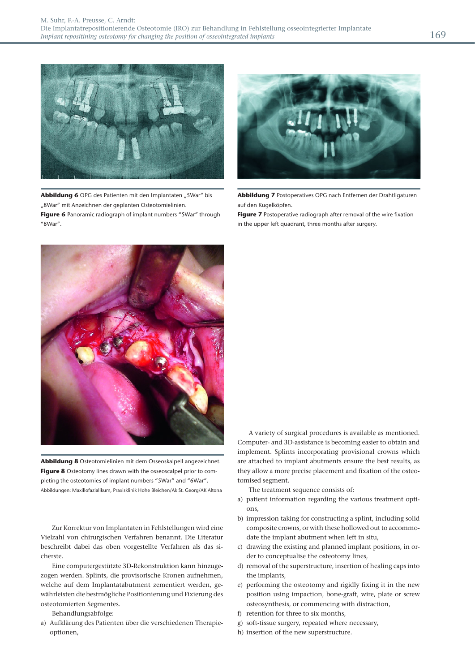

**Abbildung 6** OPG des Patienten mit den Implantaten "5War" bis "8War" mit Anzeichnen der geplanten Osteotomielinien. **Figure 6** Panoramic radiograph of implant numbers "5War" through "8War".



**Abbildung 7** Postoperatives OPG nach Entfernen der Drahtligaturen auf den Kugelköpfen.

**Figure 7** Postoperative radiograph after removal of the wire fixation in the upper left quadrant, three months after surgery.



**Abbildung 8** Osteotomielinien mit dem Osseoskalpell angezeichnet. **Figure 8** Osteotomy lines drawn with the osseoscalpel prior to completing the osteotomies of implant numbers "5War" and "6War". Abbildungen: Maxillofazialikum, Praxisklinik Hohe Bleichen/Ak St. Georg/AK Altona

Zur Korrektur von Implantaten in Fehlstellungen wird eine Vielzahl von chirurgischen Verfahren benannt. Die Literatur beschreibt dabei das oben vorgestellte Verfahren als das sicherste.

 Eine computergestützte 3D-Rekonstruktion kann hinzugezogen werden. Splints, die provisorische Kronen aufnehmen, welche auf dem Implantatabutment zementiert werden, gewährleisten die bestmögliche Positionierung und Fixierung des osteotomierten Segmentes.

Behandlungsabfolge:

a) Aufklärung des Patienten über die verschiedenen Therapieoptionen,

A variety of surgical procedures is available as mentioned. Computer- and 3D-assistance is becoming easier to obtain and implement. Splints incorporating provisional crowns which are attached to implant abutments ensure the best results, as they allow a more precise placement and fixation of the osteotomised segment.

The treatment sequence consists of:

- a) patient information regarding the various treatment options,
- b) impression taking for constructing a splint, including solid composite crowns, or with these hollowed out to accommodate the implant abutment when left in situ,
- c) drawing the existing and planned implant positions, in order to conceptualise the osteotomy lines,
- d) removal of the superstructure, insertion of healing caps into the implants,
- e) performing the osteotomy and rigidly fixing it in the new position using impaction, bone-graft, wire, plate or screw osteosynthesis, or commencing with distraction,
- f) retention for three to six months,
- g) soft-tissue surgery, repeated where necessary,
- h) insertion of the new superstructure.